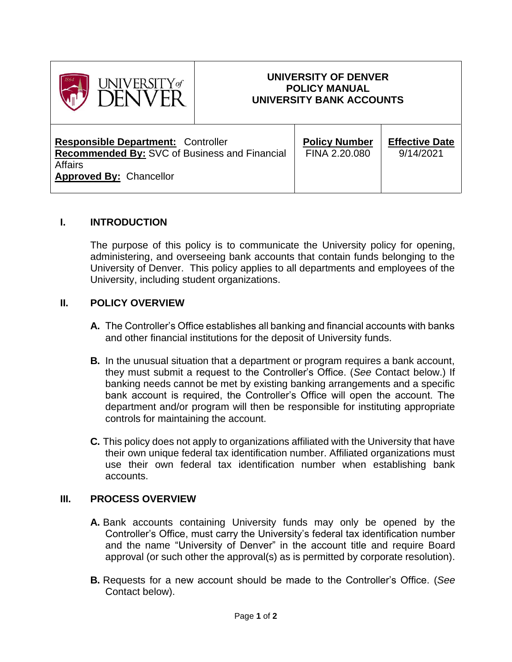

# **UNIVERSITY OF DENVER POLICY MANUAL UNIVERSITY BANK ACCOUNTS**

| <b>Responsible Department: Controller</b><br><b>Recommended By: SVC of Business and Financial</b><br><b>Affairs</b> | <b>Policy Number</b><br>FINA 2.20.080 | <b>Effective Date</b><br>9/14/2021 |
|---------------------------------------------------------------------------------------------------------------------|---------------------------------------|------------------------------------|
| <b>Approved By: Chancellor</b>                                                                                      |                                       |                                    |

## **I. INTRODUCTION**

The purpose of this policy is to communicate the University policy for opening, administering, and overseeing bank accounts that contain funds belonging to the University of Denver. This policy applies to all departments and employees of the University, including student organizations.

## **II. POLICY OVERVIEW**

- **A.** The Controller's Office establishes all banking and financial accounts with banks and other financial institutions for the deposit of University funds.
- **B.** In the unusual situation that a department or program requires a bank account, they must submit a request to the Controller's Office. (*See* Contact below.) If banking needs cannot be met by existing banking arrangements and a specific bank account is required, the Controller's Office will open the account. The department and/or program will then be responsible for instituting appropriate controls for maintaining the account.
- **C.** This policy does not apply to organizations affiliated with the University that have their own unique federal tax identification number. Affiliated organizations must use their own federal tax identification number when establishing bank accounts.

### **III. PROCESS OVERVIEW**

- **A.** Bank accounts containing University funds may only be opened by the Controller's Office, must carry the University's federal tax identification number and the name "University of Denver" in the account title and require Board approval (or such other the approval(s) as is permitted by corporate resolution).
- **B.** Requests for a new account should be made to the Controller's Office. (*See* Contact below).